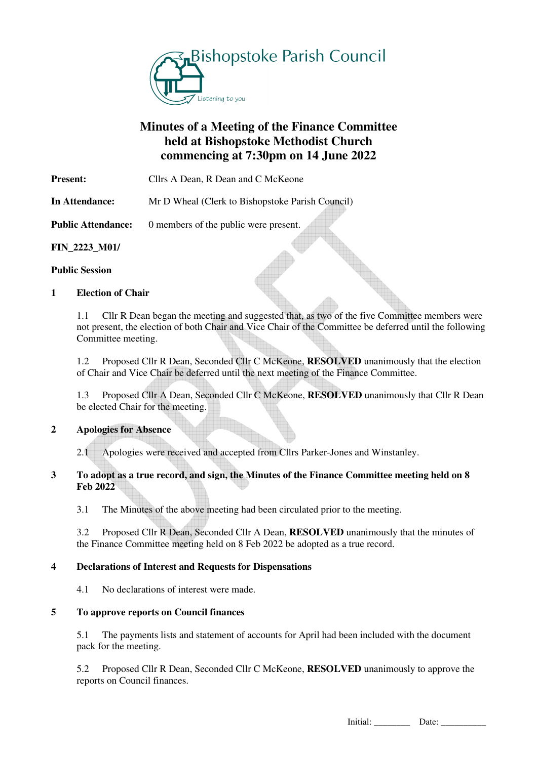

# **Minutes of a Meeting of the Finance Committee held at Bishopstoke Methodist Church commencing at 7:30pm on 14 June 2022**

**Present:** Cllrs A Dean, R Dean and C McKeone

**In Attendance:** Mr D Wheal (Clerk to Bishopstoke Parish Council)

**Public Attendance:** 0 members of the public were present.

**FIN\_2223\_M01/** 

## **Public Session**

# **1 Election of Chair**

1.1 Cllr R Dean began the meeting and suggested that, as two of the five Committee members were not present, the election of both Chair and Vice Chair of the Committee be deferred until the following Committee meeting.

 1.2 Proposed Cllr R Dean, Seconded Cllr C McKeone, **RESOLVED** unanimously that the election of Chair and Vice Chair be deferred until the next meeting of the Finance Committee.

1.3 Proposed Cllr A Dean, Seconded Cllr C McKeone, **RESOLVED** unanimously that Cllr R Dean be elected Chair for the meeting.

#### **2 Apologies for Absence**

2.1 Apologies were received and accepted from Cllrs Parker-Jones and Winstanley.

## **3 To adopt as a true record, and sign, the Minutes of the Finance Committee meeting held on 8 Feb 2022**

3.1 The Minutes of the above meeting had been circulated prior to the meeting.

 3.2 Proposed Cllr R Dean, Seconded Cllr A Dean, **RESOLVED** unanimously that the minutes of the Finance Committee meeting held on 8 Feb 2022 be adopted as a true record.

# **4 Declarations of Interest and Requests for Dispensations**

4.1 No declarations of interest were made.

#### **5 To approve reports on Council finances**

 5.1 The payments lists and statement of accounts for April had been included with the document pack for the meeting.

5.2 Proposed Cllr R Dean, Seconded Cllr C McKeone, **RESOLVED** unanimously to approve the reports on Council finances.

Initial: \_\_\_\_\_\_\_\_ Date: \_\_\_\_\_\_\_\_\_\_